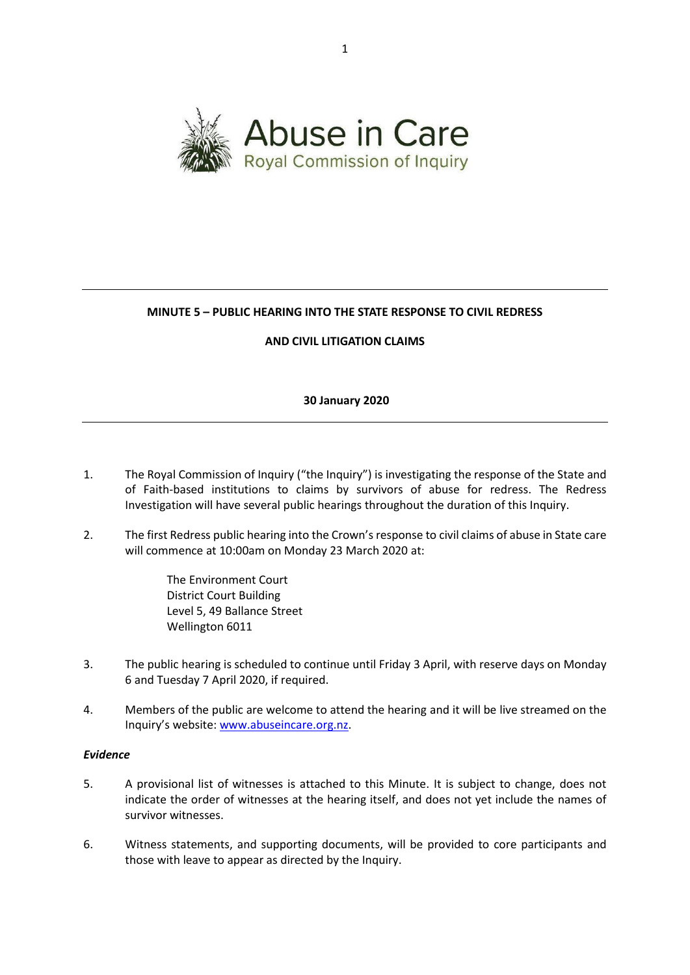

# **MINUTE 5 – PUBLIC HEARING INTO THE STATE RESPONSE TO CIVIL REDRESS**

#### **AND CIVIL LITIGATION CLAIMS**

#### **30 January 2020**

- 1. The Royal Commission of Inquiry ("the Inquiry") is investigating the response of the State and of Faith-based institutions to claims by survivors of abuse for redress. The Redress Investigation will have several public hearings throughout the duration of this Inquiry.
- 2. The first Redress public hearing into the Crown's response to civil claims of abuse in State care will commence at 10:00am on Monday 23 March 2020 at:
	- The Environment Court District Court Building Level 5, 49 Ballance Street Wellington 6011
- 3. The public hearing is scheduled to continue until Friday 3 April, with reserve days on Monday 6 and Tuesday 7 April 2020, if required.
- 4. Members of the public are welcome to attend the hearing and it will be live streamed on the Inquiry's website: [www.abuseincare.org.nz.](http://www.abuseincare.org.nz/)

## *Evidence*

- 5. A provisional list of witnesses is attached to this Minute. It is subject to change, does not indicate the order of witnesses at the hearing itself, and does not yet include the names of survivor witnesses.
- 6. Witness statements, and supporting documents, will be provided to core participants and those with leave to appear as directed by the Inquiry.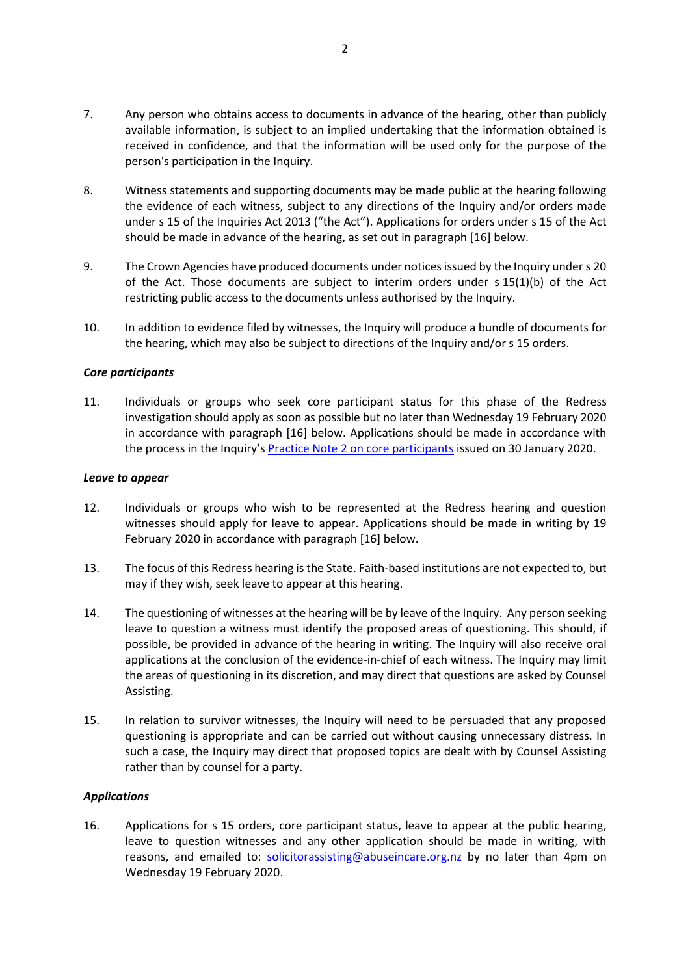- 7. Any person who obtains access to documents in advance of the hearing, other than publicly available information, is subject to an implied undertaking that the information obtained is received in confidence, and that the information will be used only for the purpose of the person's participation in the Inquiry.
- 8. Witness statements and supporting documents may be made public at the hearing following the evidence of each witness, subject to any directions of the Inquiry and/or orders made under s 15 of the Inquiries Act 2013 ("the Act"). Applications for orders under s 15 of the Act should be made in advance of the hearing, as set out in paragraph [16] below.
- 9. The Crown Agencies have produced documents under noticesissued by the Inquiry under s 20 of the Act. Those documents are subject to interim orders under s 15(1)(b) of the Act restricting public access to the documents unless authorised by the Inquiry.
- 10. In addition to evidence filed by witnesses, the Inquiry will produce a bundle of documents for the hearing, which may also be subject to directions of the Inquiry and/or s 15 orders.

#### *Core participants*

11. Individuals or groups who seek core participant status for this phase of the Redress investigation should apply as soon as possible but no later than Wednesday 19 February 2020 in accordance with paragraph [16] below. Applications should be made in accordance with the process in the Inquiry's [Practice Note 2 on core participants](https://www.abuseincare.org.nz/library/v/92/practice-note-2-core-participants) issued on 30 January 2020.

#### *Leave to appear*

- 12. Individuals or groups who wish to be represented at the Redress hearing and question witnesses should apply for leave to appear. Applications should be made in writing by 19 February 2020 in accordance with paragraph [16] below.
- 13. The focus of this Redress hearing is the State. Faith-based institutions are not expected to, but may if they wish, seek leave to appear at this hearing.
- 14. The questioning of witnesses at the hearing will be by leave of the Inquiry. Any person seeking leave to question a witness must identify the proposed areas of questioning. This should, if possible, be provided in advance of the hearing in writing. The Inquiry will also receive oral applications at the conclusion of the evidence-in-chief of each witness. The Inquiry may limit the areas of questioning in its discretion, and may direct that questions are asked by Counsel Assisting.
- 15. In relation to survivor witnesses, the Inquiry will need to be persuaded that any proposed questioning is appropriate and can be carried out without causing unnecessary distress. In such a case, the Inquiry may direct that proposed topics are dealt with by Counsel Assisting rather than by counsel for a party.

#### *Applications*

16. Applications for s 15 orders, core participant status, leave to appear at the public hearing, leave to question witnesses and any other application should be made in writing, with reasons, and emailed to: [solicitorassisting@abuseincare.org.nz](mailto:solicitorassisting@abuseincare.org.nz) by no later than 4pm on Wednesday 19 February 2020.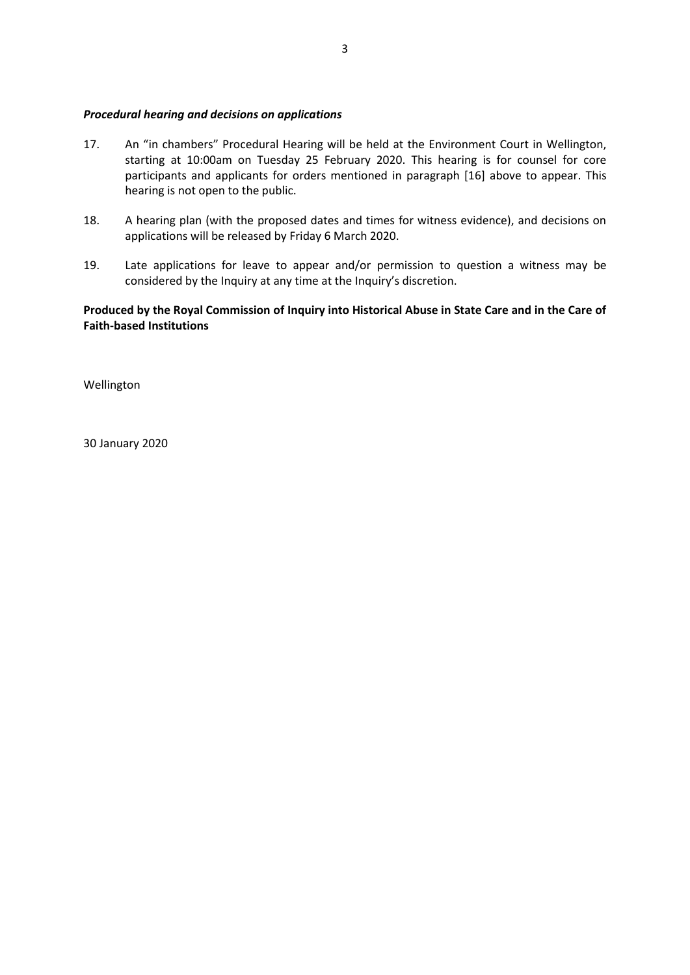#### *Procedural hearing and decisions on applications*

- 17. An "in chambers" Procedural Hearing will be held at the Environment Court in Wellington, starting at 10:00am on Tuesday 25 February 2020. This hearing is for counsel for core participants and applicants for orders mentioned in paragraph [16] above to appear. This hearing is not open to the public.
- 18. A hearing plan (with the proposed dates and times for witness evidence), and decisions on applications will be released by Friday 6 March 2020.
- 19. Late applications for leave to appear and/or permission to question a witness may be considered by the Inquiry at any time at the Inquiry's discretion.

## **Produced by the Royal Commission of Inquiry into Historical Abuse in State Care and in the Care of Faith-based Institutions**

Wellington

30 January 2020